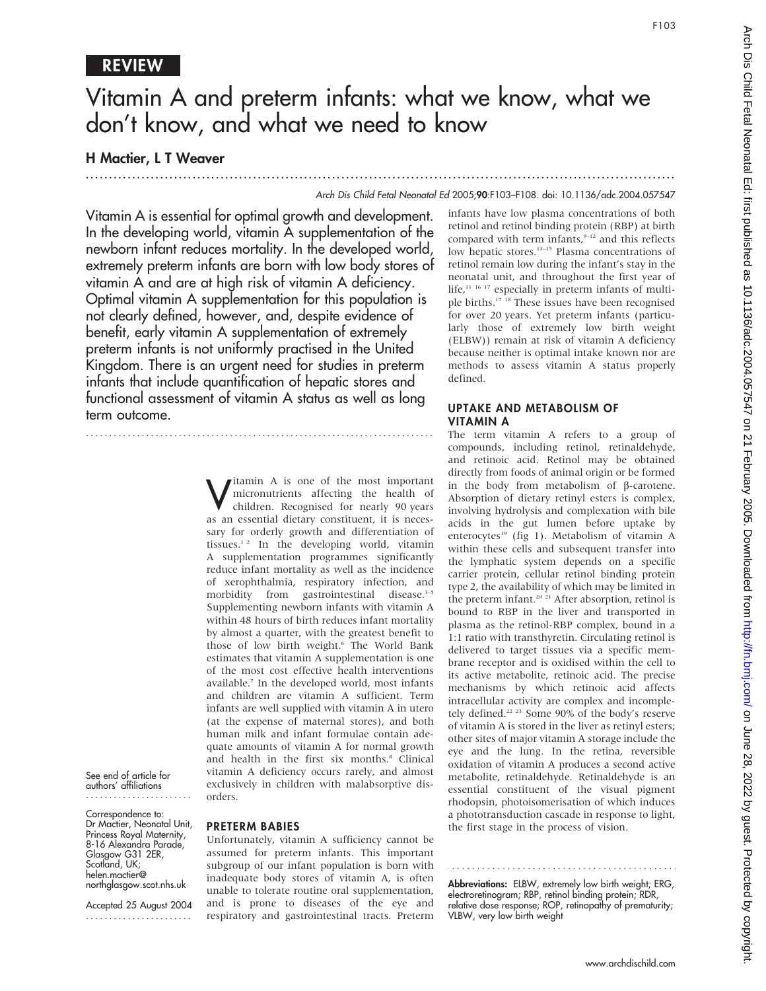# REVIEW

# Vitamin A and preterm infants: what we know, what we don't know, and what we need to know

...............................................................................................................................

## H Mactier, L T Weaver

#### Arch Dis Child Fetal Neonatal Ed 2005;90:F103–F108. doi: 10.1136/adc.2004.057547

Vitamin A is essential for optimal growth and development. In the developing world, vitamin A supplementation of the newborn infant reduces mortality. In the developed world, extremely preterm infants are born with low body stores of vitamin A and are at high risk of vitamin A deficiency. Optimal vitamin A supplementation for this population is not clearly defined, however, and, despite evidence of benefit, early vitamin A supplementation of extremely preterm infants is not uniformly practised in the United Kingdom. There is an urgent need for studies in preterm infants that include quantification of hepatic stores and functional assessment of vitamin A status as well as long term outcome.

...........................................................................

**V** itamin A is one of the most important<br>micronutrients affecting the health of<br>children. Recognised for nearly 90 years micronutrients affecting the health of children. Recognised for nearly 90 years as an essential dietary constituent, it is necessary for orderly growth and differentiation of tissues.<sup>12</sup> In the developing world, vitamin A supplementation programmes significantly reduce infant mortality as well as the incidence of xerophthalmia, respiratory infection, and morbidity from gastrointestinal disease.<sup>3-5</sup> Supplementing newborn infants with vitamin A within 48 hours of birth reduces infant mortality by almost a quarter, with the greatest benefit to those of low birth weight.<sup>6</sup> The World Bank estimates that vitamin A supplementation is one of the most cost effective health interventions available.7 In the developed world, most infants and children are vitamin A sufficient. Term infants are well supplied with vitamin A in utero (at the expense of maternal stores), and both human milk and infant formulae contain adequate amounts of vitamin A for normal growth and health in the first six months.<sup>8</sup> Clinical vitamin A deficiency occurs rarely, and almost exclusively in children with malabsorptive disorders.

See end of article for authors' affiliations .......................

Correspondence to: Dr Mactier, Neonatal Unit, Princess Royal Maternity, 8-16 Alexandra Parade, Glasgow G31 2ER, Scotland, UK; helen.mactier@ northglasgow.scot.nhs.uk

Accepted 25 August 2004 .......................

## PRETERM BABIES

Unfortunately, vitamin A sufficiency cannot be assumed for preterm infants. This important subgroup of our infant population is born with inadequate body stores of vitamin A, is often unable to tolerate routine oral supplementation, and is prone to diseases of the eye and respiratory and gastrointestinal tracts. Preterm

infants have low plasma concentrations of both retinol and retinol binding protein (RBP) at birth compared with term infants,<sup>9-12</sup> and this reflects low hepatic stores.<sup>13-15</sup> Plasma concentrations of retinol remain low during the infant's stay in the neonatal unit, and throughout the first year of life,<sup>11 16 17</sup> especially in preterm infants of multiple births.17 18 These issues have been recognised for over 20 years. Yet preterm infants (particularly those of extremely low birth weight (ELBW)) remain at risk of vitamin A deficiency because neither is optimal intake known nor are methods to assess vitamin A status properly defined.

## UPTAKE AND METABOLISM OF VITAMIN A

The term vitamin A refers to a group of compounds, including retinol, retinaldehyde, and retinoic acid. Retinol may be obtained directly from foods of animal origin or be formed in the body from metabolism of  $\beta$ -carotene. Absorption of dietary retinyl esters is complex, involving hydrolysis and complexation with bile acids in the gut lumen before uptake by enterocytes<sup>19</sup> (fig 1). Metabolism of vitamin A within these cells and subsequent transfer into the lymphatic system depends on a specific carrier protein, cellular retinol binding protein type 2, the availability of which may be limited in the preterm infant.<sup>20</sup><sup>21</sup> After absorption, retinol is bound to RBP in the liver and transported in plasma as the retinol-RBP complex, bound in a 1:1 ratio with transthyretin. Circulating retinol is delivered to target tissues via a specific membrane receptor and is oxidised within the cell to its active metabolite, retinoic acid. The precise mechanisms by which retinoic acid affects intracellular activity are complex and incompletely defined.22 23 Some 90% of the body's reserve of vitamin A is stored in the liver as retinyl esters; other sites of major vitamin A storage include the eye and the lung. In the retina, reversible oxidation of vitamin A produces a second active metabolite, retinaldehyde. Retinaldehyde is an essential constituent of the visual pigment rhodopsin, photoisomerisation of which induces a phototransduction cascade in response to light, the first stage in the process of vision.

Abbreviations: ELBW, extremely low birth weight; ERG, electroretinogram; RBP, retinol binding protein; RDR, relative dose response; ROP, retinopathy of prematurity; VLBW, very low birth weight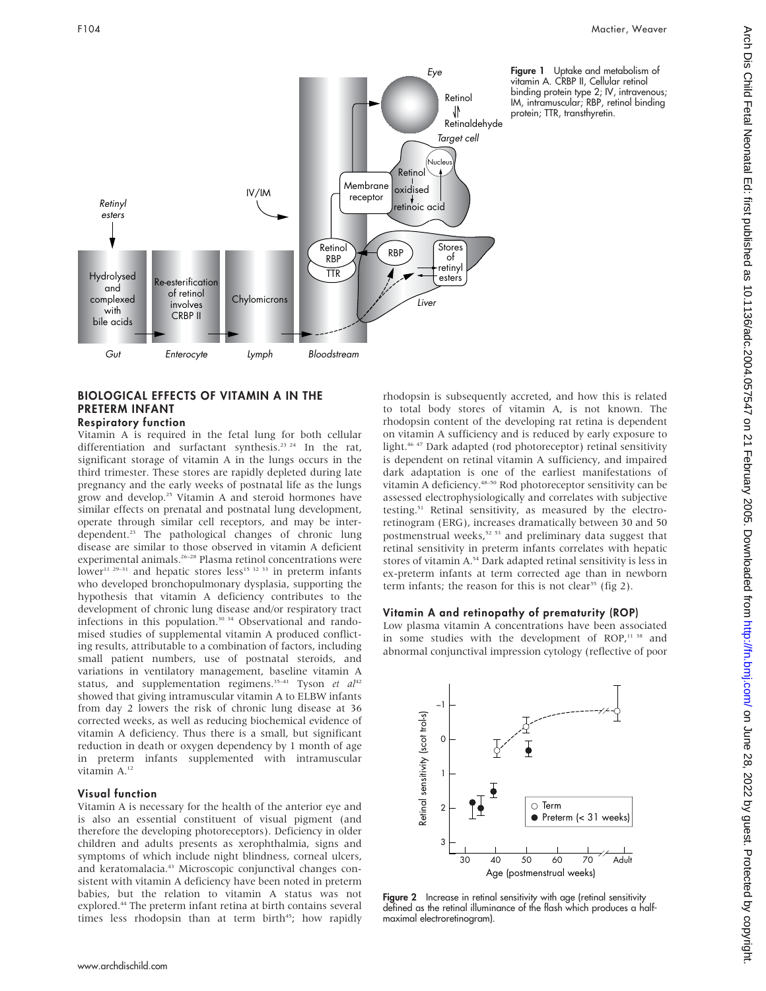

# BIOLOGICAL EFFECTS OF VITAMIN A IN THE PRETERM INFANT

Respiratory function

Vitamin A is required in the fetal lung for both cellular differentiation and surfactant synthesis.<sup>23 24</sup> In the rat, significant storage of vitamin A in the lungs occurs in the third trimester. These stores are rapidly depleted during late pregnancy and the early weeks of postnatal life as the lungs grow and develop.25 Vitamin A and steroid hormones have similar effects on prenatal and postnatal lung development, operate through similar cell receptors, and may be interdependent.<sup>23</sup> The pathological changes of chronic lung disease are similar to those observed in vitamin A deficient experimental animals.<sup>26-28</sup> Plasma retinol concentrations were lower<sup>11 29–31</sup> and hepatic stores less<sup>15 32 33</sup> in preterm infants who developed bronchopulmonary dysplasia, supporting the hypothesis that vitamin A deficiency contributes to the development of chronic lung disease and/or respiratory tract infections in this population.30 34 Observational and randomised studies of supplemental vitamin A produced conflicting results, attributable to a combination of factors, including small patient numbers, use of postnatal steroids, and variations in ventilatory management, baseline vitamin A status, and supplementation regimens.<sup>35-41</sup> Tyson et  $al^{42}$ showed that giving intramuscular vitamin A to ELBW infants from day 2 lowers the risk of chronic lung disease at 36 corrected weeks, as well as reducing biochemical evidence of vitamin A deficiency. Thus there is a small, but significant reduction in death or oxygen dependency by 1 month of age in preterm infants supplemented with intramuscular vitamin A.12

#### Visual function

Vitamin A is necessary for the health of the anterior eye and is also an essential constituent of visual pigment (and therefore the developing photoreceptors). Deficiency in older children and adults presents as xerophthalmia, signs and symptoms of which include night blindness, corneal ulcers, and keratomalacia.<sup>43</sup> Microscopic conjunctival changes consistent with vitamin A deficiency have been noted in preterm babies, but the relation to vitamin A status was not explored.44 The preterm infant retina at birth contains several times less rhodopsin than at term birth<sup>45</sup>; how rapidly

rhodopsin is subsequently accreted, and how this is related to total body stores of vitamin A, is not known. The rhodopsin content of the developing rat retina is dependent on vitamin A sufficiency and is reduced by early exposure to light.<sup>46 47</sup> Dark adapted (rod photoreceptor) retinal sensitivity is dependent on retinal vitamin A sufficiency, and impaired dark adaptation is one of the earliest manifestations of vitamin A deficiency.48–50 Rod photoreceptor sensitivity can be assessed electrophysiologically and correlates with subjective testing.51 Retinal sensitivity, as measured by the electroretinogram (ERG), increases dramatically between 30 and 50 postmenstrual weeks,<sup>52 53</sup> and preliminary data suggest that retinal sensitivity in preterm infants correlates with hepatic stores of vitamin A.54 Dark adapted retinal sensitivity is less in ex-preterm infants at term corrected age than in newborn term infants; the reason for this is not clear<sup>55</sup> (fig 2).

### Vitamin A and retinopathy of prematurity (ROP)

Low plasma vitamin A concentrations have been associated in some studies with the development of ROP,<sup>11 38</sup> and abnormal conjunctival impression cytology (reflective of poor



Figure 2 Increase in retinal sensitivity with age (retinal sensitivity defined as the retinal illuminance of the flash which produces a halfmaximal electroretinogram).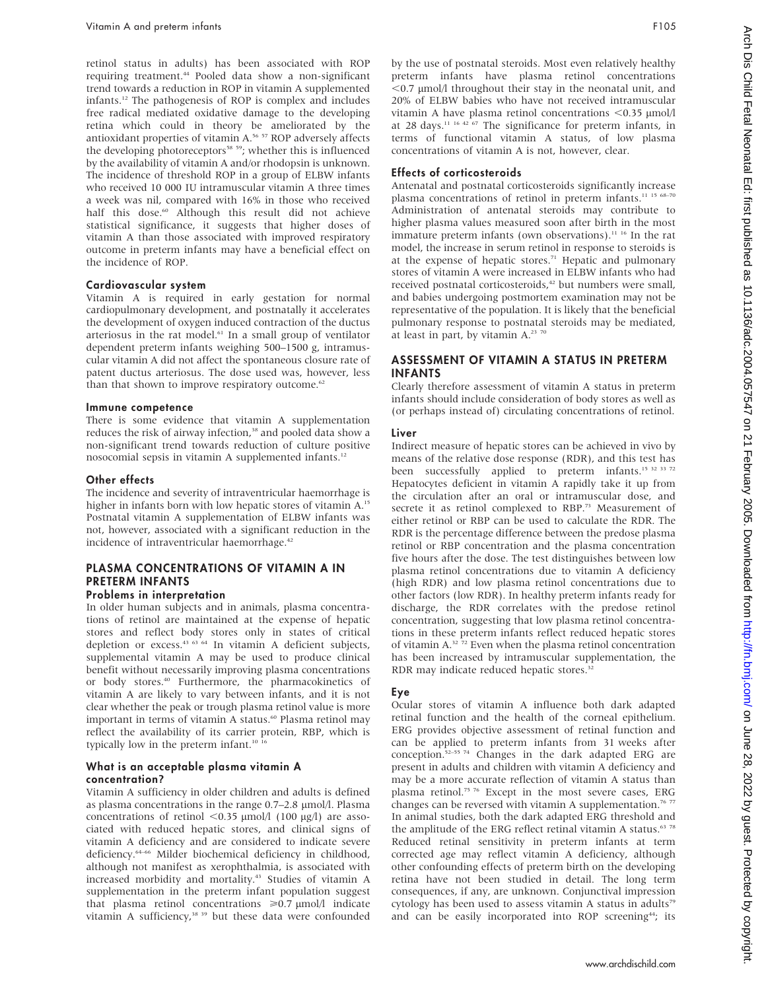retinol status in adults) has been associated with ROP requiring treatment.<sup>44</sup> Pooled data show a non-significant trend towards a reduction in ROP in vitamin A supplemented infants.12 The pathogenesis of ROP is complex and includes free radical mediated oxidative damage to the developing retina which could in theory be ameliorated by the antioxidant properties of vitamin A.56 57 ROP adversely affects the developing photoreceptors<sup>58</sup> <sup>59</sup>; whether this is influenced by the availability of vitamin A and/or rhodopsin is unknown. The incidence of threshold ROP in a group of ELBW infants who received 10 000 IU intramuscular vitamin A three times a week was nil, compared with 16% in those who received half this dose.<sup>60</sup> Although this result did not achieve statistical significance, it suggests that higher doses of vitamin A than those associated with improved respiratory outcome in preterm infants may have a beneficial effect on the incidence of ROP.

## Cardiovascular system

Vitamin A is required in early gestation for normal cardiopulmonary development, and postnatally it accelerates the development of oxygen induced contraction of the ductus arteriosus in the rat model.<sup>61</sup> In a small group of ventilator dependent preterm infants weighing 500–1500 g, intramuscular vitamin A did not affect the spontaneous closure rate of patent ductus arteriosus. The dose used was, however, less than that shown to improve respiratory outcome.<sup>62</sup>

#### Immune competence

There is some evidence that vitamin A supplementation reduces the risk of airway infection,<sup>38</sup> and pooled data show a non-significant trend towards reduction of culture positive nosocomial sepsis in vitamin A supplemented infants.12

## Other effects

The incidence and severity of intraventricular haemorrhage is higher in infants born with low hepatic stores of vitamin A.<sup>15</sup> Postnatal vitamin A supplementation of ELBW infants was not, however, associated with a significant reduction in the incidence of intraventricular haemorrhage.<sup>42</sup>

## PLASMA CONCENTRATIONS OF VITAMIN A IN PRETERM INFANTS

## Problems in interpretation

In older human subjects and in animals, plasma concentrations of retinol are maintained at the expense of hepatic stores and reflect body stores only in states of critical depletion or excess.43 63 64 In vitamin A deficient subjects, supplemental vitamin A may be used to produce clinical benefit without necessarily improving plasma concentrations or body stores.40 Furthermore, the pharmacokinetics of vitamin A are likely to vary between infants, and it is not clear whether the peak or trough plasma retinol value is more important in terms of vitamin A status.<sup>60</sup> Plasma retinol may reflect the availability of its carrier protein, RBP, which is typically low in the preterm infant.<sup>10</sup> <sup>1</sup>

#### What is an acceptable plasma vitamin A concentration?

Vitamin A sufficiency in older children and adults is defined as plasma concentrations in the range 0.7-2.8 µmol/l. Plasma concentrations of retinol  $<$ 0.35 µmol/l (100 µg/l) are associated with reduced hepatic stores, and clinical signs of vitamin A deficiency and are considered to indicate severe deficiency.<sup>64–66</sup> Milder biochemical deficiency in childhood, although not manifest as xerophthalmia, is associated with increased morbidity and mortality.<sup>43</sup> Studies of vitamin A supplementation in the preterm infant population suggest that plasma retinol concentrations  $\geq 0.7 \text{ }\mu\text{mol}/\text{l}$  indicate vitamin A sufficiency,<sup>38 39</sup> but these data were confounded by the use of postnatal steroids. Most even relatively healthy preterm infants have plasma retinol concentrations  $<$  0.7  $\mu$ mol/l throughout their stay in the neonatal unit, and 20% of ELBW babies who have not received intramuscular vitamin A have plasma retinol concentrations  $<$ 0.35 µmol/l at 28 days.11 16 42 67 The significance for preterm infants, in terms of functional vitamin A status, of low plasma concentrations of vitamin A is not, however, clear.

## Effects of corticosteroids

Antenatal and postnatal corticosteroids significantly increase plasma concentrations of retinol in preterm infants.<sup>11 15 68-70</sup> Administration of antenatal steroids may contribute to higher plasma values measured soon after birth in the most immature preterm infants (own observations).<sup>11 16</sup> In the rat model, the increase in serum retinol in response to steroids is at the expense of hepatic stores.<sup>71</sup> Hepatic and pulmonary stores of vitamin A were increased in ELBW infants who had received postnatal corticosteroids,<sup>42</sup> but numbers were small, and babies undergoing postmortem examination may not be representative of the population. It is likely that the beneficial pulmonary response to postnatal steroids may be mediated, at least in part, by vitamin  $A^{2370}$ 

## ASSESSMENT OF VITAMIN A STATUS IN PRETERM INFANTS

Clearly therefore assessment of vitamin A status in preterm infants should include consideration of body stores as well as (or perhaps instead of) circulating concentrations of retinol.

## Liver

Indirect measure of hepatic stores can be achieved in vivo by means of the relative dose response (RDR), and this test has been successfully applied to preterm infants.<sup>15 32 33 72</sup> Hepatocytes deficient in vitamin A rapidly take it up from the circulation after an oral or intramuscular dose, and secrete it as retinol complexed to RBP.<sup>73</sup> Measurement of either retinol or RBP can be used to calculate the RDR. The RDR is the percentage difference between the predose plasma retinol or RBP concentration and the plasma concentration five hours after the dose. The test distinguishes between low plasma retinol concentrations due to vitamin A deficiency (high RDR) and low plasma retinol concentrations due to other factors (low RDR). In healthy preterm infants ready for discharge, the RDR correlates with the predose retinol concentration, suggesting that low plasma retinol concentrations in these preterm infants reflect reduced hepatic stores of vitamin A.32 72 Even when the plasma retinol concentration has been increased by intramuscular supplementation, the RDR may indicate reduced hepatic stores.<sup>3</sup>

## Eye

Ocular stores of vitamin A influence both dark adapted retinal function and the health of the corneal epithelium. ERG provides objective assessment of retinal function and can be applied to preterm infants from 31 weeks after conception.52–55 74 Changes in the dark adapted ERG are present in adults and children with vitamin A deficiency and may be a more accurate reflection of vitamin A status than plasma retinol.<sup>75 76</sup> Except in the most severe cases, ERG changes can be reversed with vitamin A supplementation.<sup>76 77</sup> In animal studies, both the dark adapted ERG threshold and the amplitude of the ERG reflect retinal vitamin A status. $63\frac{78}{6}$ Reduced retinal sensitivity in preterm infants at term corrected age may reflect vitamin A deficiency, although other confounding effects of preterm birth on the developing retina have not been studied in detail. The long term consequences, if any, are unknown. Conjunctival impression cytology has been used to assess vitamin A status in adults<sup>79</sup> and can be easily incorporated into ROP screening<sup>44</sup>; its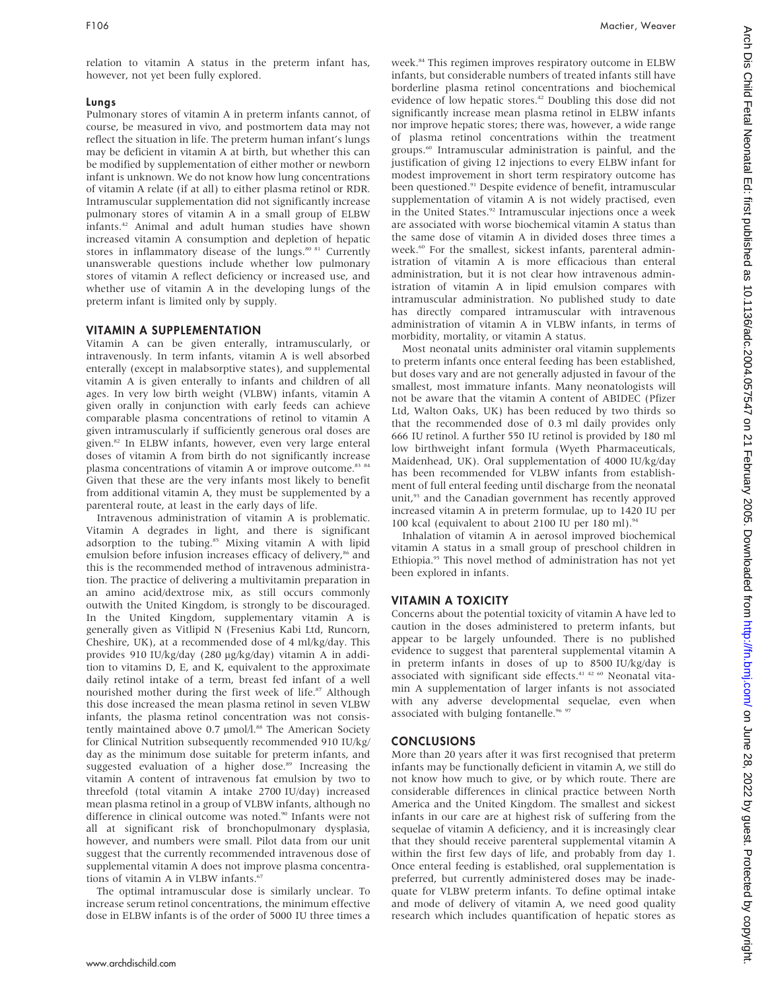relation to vitamin A status in the preterm infant has, however, not yet been fully explored.

## Lungs

Pulmonary stores of vitamin A in preterm infants cannot, of course, be measured in vivo, and postmortem data may not reflect the situation in life. The preterm human infant's lungs may be deficient in vitamin A at birth, but whether this can be modified by supplementation of either mother or newborn infant is unknown. We do not know how lung concentrations of vitamin A relate (if at all) to either plasma retinol or RDR. Intramuscular supplementation did not significantly increase pulmonary stores of vitamin A in a small group of ELBW infants.42 Animal and adult human studies have shown increased vitamin A consumption and depletion of hepatic stores in inflammatory disease of the lungs.<sup>80 81</sup> Currently unanswerable questions include whether low pulmonary stores of vitamin A reflect deficiency or increased use, and whether use of vitamin A in the developing lungs of the preterm infant is limited only by supply.

## VITAMIN A SUPPLEMENTATION

Vitamin A can be given enterally, intramuscularly, or intravenously. In term infants, vitamin A is well absorbed enterally (except in malabsorptive states), and supplemental vitamin A is given enterally to infants and children of all ages. In very low birth weight (VLBW) infants, vitamin A given orally in conjunction with early feeds can achieve comparable plasma concentrations of retinol to vitamin A given intramuscularly if sufficiently generous oral doses are given.<sup>82</sup> In ELBW infants, however, even very large enteral doses of vitamin A from birth do not significantly increase plasma concentrations of vitamin A or improve outcome.<sup>83 84</sup> Given that these are the very infants most likely to benefit from additional vitamin A, they must be supplemented by a parenteral route, at least in the early days of life.

Intravenous administration of vitamin A is problematic. Vitamin A degrades in light, and there is significant adsorption to the tubing.<sup>85</sup> Mixing vitamin A with lipid emulsion before infusion increases efficacy of delivery,<sup>86</sup> and this is the recommended method of intravenous administration. The practice of delivering a multivitamin preparation in an amino acid/dextrose mix, as still occurs commonly outwith the United Kingdom, is strongly to be discouraged. In the United Kingdom, supplementary vitamin A is generally given as Vitlipid N (Fresenius Kabi Ltd, Runcorn, Cheshire, UK), at a recommended dose of 4 ml/kg/day. This provides 910 IU/kg/day (280 mg/kg/day) vitamin A in addition to vitamins D, E, and K, equivalent to the approximate daily retinol intake of a term, breast fed infant of a well nourished mother during the first week of life.<sup>87</sup> Although this dose increased the mean plasma retinol in seven VLBW infants, the plasma retinol concentration was not consistently maintained above  $0.7 \mu$ mol $/l$ .<sup>88</sup> The American Society for Clinical Nutrition subsequently recommended 910 IU/kg/ day as the minimum dose suitable for preterm infants, and suggested evaluation of a higher dose.<sup>89</sup> Increasing the vitamin A content of intravenous fat emulsion by two to threefold (total vitamin A intake 2700 IU/day) increased mean plasma retinol in a group of VLBW infants, although no difference in clinical outcome was noted.<sup>90</sup> Infants were not all at significant risk of bronchopulmonary dysplasia, however, and numbers were small. Pilot data from our unit suggest that the currently recommended intravenous dose of supplemental vitamin A does not improve plasma concentrations of vitamin A in VLBW infants.<sup>67</sup>

The optimal intramuscular dose is similarly unclear. To increase serum retinol concentrations, the minimum effective dose in ELBW infants is of the order of 5000 IU three times a week.<sup>84</sup> This regimen improves respiratory outcome in ELBW infants, but considerable numbers of treated infants still have borderline plasma retinol concentrations and biochemical evidence of low hepatic stores.42 Doubling this dose did not significantly increase mean plasma retinol in ELBW infants nor improve hepatic stores; there was, however, a wide range of plasma retinol concentrations within the treatment groups.60 Intramuscular administration is painful, and the justification of giving 12 injections to every ELBW infant for modest improvement in short term respiratory outcome has been questioned.<sup>91</sup> Despite evidence of benefit, intramuscular supplementation of vitamin A is not widely practised, even in the United States.<sup>92</sup> Intramuscular injections once a week are associated with worse biochemical vitamin A status than the same dose of vitamin A in divided doses three times a week.<sup>60</sup> For the smallest, sickest infants, parenteral administration of vitamin A is more efficacious than enteral administration, but it is not clear how intravenous administration of vitamin A in lipid emulsion compares with intramuscular administration. No published study to date has directly compared intramuscular with intravenous administration of vitamin A in VLBW infants, in terms of morbidity, mortality, or vitamin A status.

Most neonatal units administer oral vitamin supplements to preterm infants once enteral feeding has been established, but doses vary and are not generally adjusted in favour of the smallest, most immature infants. Many neonatologists will not be aware that the vitamin A content of ABIDEC (Pfizer Ltd, Walton Oaks, UK) has been reduced by two thirds so that the recommended dose of 0.3 ml daily provides only 666 IU retinol. A further 550 IU retinol is provided by 180 ml low birthweight infant formula (Wyeth Pharmaceuticals, Maidenhead, UK). Oral supplementation of 4000 IU/kg/day has been recommended for VLBW infants from establishment of full enteral feeding until discharge from the neonatal unit,<sup>93</sup> and the Canadian government has recently approved increased vitamin A in preterm formulae, up to 1420 IU per 100 kcal (equivalent to about 2100 IU per 180 ml).94

Inhalation of vitamin A in aerosol improved biochemical vitamin A status in a small group of preschool children in Ethiopia.95 This novel method of administration has not yet been explored in infants.

## VITAMIN A TOXICITY

Concerns about the potential toxicity of vitamin A have led to caution in the doses administered to preterm infants, but appear to be largely unfounded. There is no published evidence to suggest that parenteral supplemental vitamin A in preterm infants in doses of up to 8500 IU/kg/day is associated with significant side effects.41 42 60 Neonatal vitamin A supplementation of larger infants is not associated with any adverse developmental sequelae, even when associated with bulging fontanelle.<sup>96</sup>

### **CONCLUSIONS**

More than 20 years after it was first recognised that preterm infants may be functionally deficient in vitamin A, we still do not know how much to give, or by which route. There are considerable differences in clinical practice between North America and the United Kingdom. The smallest and sickest infants in our care are at highest risk of suffering from the sequelae of vitamin A deficiency, and it is increasingly clear that they should receive parenteral supplemental vitamin A within the first few days of life, and probably from day 1. Once enteral feeding is established, oral supplementation is preferred, but currently administered doses may be inadequate for VLBW preterm infants. To define optimal intake and mode of delivery of vitamin A, we need good quality research which includes quantification of hepatic stores as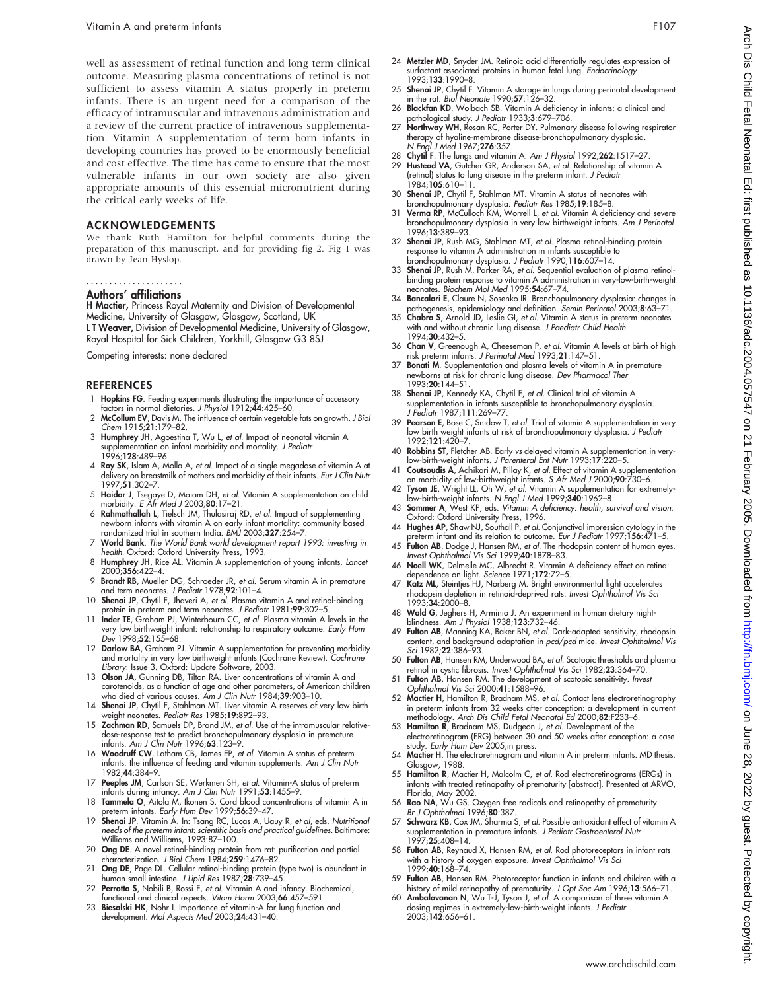well as assessment of retinal function and long term clinical outcome. Measuring plasma concentrations of retinol is not sufficient to assess vitamin A status properly in preterm infants. There is an urgent need for a comparison of the efficacy of intramuscular and intravenous administration and a review of the current practice of intravenous supplementation. Vitamin A supplementation of term born infants in developing countries has proved to be enormously beneficial and cost effective. The time has come to ensure that the most vulnerable infants in our own society are also given appropriate amounts of this essential micronutrient during the critical early weeks of life.

#### ACKNOWLEDGEMENTS

We thank Ruth Hamilton for helpful comments during the preparation of this manuscript, and for providing fig 2. Fig 1 was drawn by Jean Hyslop.

## .....................

#### Authors' affiliations

H Mactier, Princess Royal Maternity and Division of Developmental Medicine, University of Glasgow, Glasgow, Scotland, UK L T Weaver, Division of Developmental Medicine, University of Glasgow, Royal Hospital for Sick Children, Yorkhill, Glasgow G3 8SJ

Competing interests: none declared

#### REFERENCES

- 1 Hopkins FG. Feeding experiments illustrating the importance of accessory factors in normal dietaries. J Physiol 1912;44:425–60.
- 2 McCollum EV, Davis M. The influence of certain vegetable fats on growth. J Biol Chem 1915;21:179–82.
- 3 Humphrey JH, Agoestina T, Wu L, et al. Impact of neonatal vitamin A supplementation on infant morbidity and mortality. J Pediatr 1996;128:489–96.
- 4 Roy SK, Islam A, Molla A, et al. Impact of a single megadose of vitamin A at delivery on breastmilk of mothers and morbidity of their infants. Eur J Clin Nutr 1997;51:302–7.
- 5 Haidar J, Tsegaye D, Maiam DH, et al. Vitamin A supplementation on child morbidity. E Afr Med J 2003;80:17-21.
- 6 Rahmathallah L, Tielsch JM, Thulasiraj RD, et al. Impact of supplementing newborn infants with vitamin A on early infant mortality: community based<br>randomized trial in southern India. *BMJ* 2003;**327**:254–7.
- 7 World Bank. The World Bank world development report 1993: investing in health. Oxford: Oxford University Press, 1993.
- 8 Humphrey JH, Rice AL. Vitamin A supplementation of young infants. Lancet 2000;356:422–4.
- 9 Brandt RB, Mueller DG, Schroeder JR, et al. Serum vitamin A in premature and term neonates. J Pediatr 1978;92:101-4.
- 10 Shenai JP, Chytil F, Jhaveri A, et al. Plasma vitamin A and retinol-binding protein in preterm and term neonates. J Pediatr 1981;99:302-5.
- 11 Inder TE, Graham PJ, Winterbourn CC, et al. Plasma vitamin A levels in the very low birthweight infant: relationship to respiratory outcome. Early Hum Dev 1998;52:155–68.
- 12 Darlow BA, Graham PJ. Vitamin A supplementation for preventing morbidity and mortality in very low birthweight infants (Cochrane Review). Cochrane Library. Issue 3. Oxford: Update Software, 2003.
- 13 Olson JA, Gunning DB, Tilton RA. Liver concentrations of vitamin A and carotenoids, as a function of age and other parameters, of American children who died of various causes. Am J Clin Nutr 1984;39:903–10.
- 14 Shenai JP, Chytil F, Stahlman MT. Liver vitamin A reserves of very low birth weight neonates. Pediatr Res 1985;19:892–93.
- 15 Zachman RD, Samuels DP, Brand JM, et al. Use of the intramuscular relativedose-response test to predict bronchopulmonary dysplasia in premature<br>infants. *Am J Clin Nutr* 1996;**63**:123–9.
- 16 Woodruff CW, Latham CB, James EP, et al. Vitamin A status of preterm infants: the influence of feeding and vitamin supplements. Am J Clin Nutr 1982;44:384–9.
- 17 Peeples JM, Carlson SE, Werkmen SH, et al. Vitamin-A status of preterm infants during infancy. Am J Clin Nutr 1991;53:1455–9.
- 18 Tammela O, Aitola M, Ikonen S. Cord blood concentrations of vitamin A in preterm infants. Early Hum Dev 1999;56:39–47.
- 19 Shenai JP. Vitamin A. In: Tsang RC, Lucas A, Uauy R, et al, eds. Nutritional needs of the preterm infant: scientific basis and practical guidelines. Baltimore: Williams and Williams, 1993:87–100.
- 20 Ong DE. A novel retinol-binding protein from rat: purification and partial characterization. J Biol Chem 1984;259:1476–82.
- Ong DE, Page DL. Cellular retinol-binding protein (type two) is abundant in human small intestine. J Lipid Res 1987;28:739–45.
- 22 Perrotta S, Nobili B, Rossi F, et al. Vitamin A and infancy. Biochemical, functional and clinical aspects. Vitam Horm 2003;66:457–591.
- 23 Biesalski HK, Nohr I. Importance of vitamin-A for lung function and development. Mol Aspects Med 2003;24:431–40.
- surfactant associated proteins in human fetal lung. Endocrinology 1993;133:1990–8.
- 25 Shenai JP, Chytil F. Vitamin A storage in lungs during perinatal development in the rat. Biol Neonate 1990;57:126–32.
- 26 Blackfan KD, Wolbach SB. Vitamin A deficiency in infants: a clinical and athological study. J Pediatr 1933;3:679-706.
- 27 Northway WH, Rosan RC, Porter DY. Pulmonary disease following respirator therapy of hyaline-membrane disease-bronchopulmonary dysplasia.<br>N Engl J Med 1967;**276**:357.
- 28 Chytil F. The lungs and vitamin A. Am J Physiol 1992;262:1517–27. Hustead VA, Gutcher GR, Anderson SA, et al. Relationship of vitamin A
- (retinol) status to lung disease in the preterm infant. J Pediatr 1984;105:610–11.
- 30 Shenai JP, Chytil F, Stahlman MT. Vitamin A status of neonates with bronchopulmonary dysplasia. Pediatr Res 1985;19:185–8.
- 31 Verma RP, McCulloch KM, Worrell L, et al. Vitamin A deficiency and severe bronchopulmonary dysplasia in very low birthweight infants. Am J Perinatol 1996;13:389–93.
- 32 Shenai JP, Rush MG, Stahlman MT, et al. Plasma retinol-binding protein response to vitamin A administration in infants susceptible to bronchopulmonary dysplasia. J Pediatr 1990;116:607–14.
- 33 Shenai JP, Rush M, Parker RA, et al. Sequential evaluation of plasma retinolbinding protein response to vitamin A administration in very-low-birth-weight neonates. Biochem Mol Med 1995;54:67–74.
- 34 **Bancalari E**, Claure N, Sosenko IR. Bronchopulmonary dysplasia: changes in<br>17-pathogenesis, epidemiology and definition. *Semin Perinatol* 2003;**8**:63–71<br>35 **Chabra S**, Arnold JD, Leslie GI, *et al.* Vitamin A status i
- with and without chronic lung disease. J Paediatr Child Health 1994;30:432–5.
- 36 Chan V, Greenough A, Cheeseman P, et al. Vitamin A levels at birth of high risk preterm infants. J Perinatal Med 1993;21:147–51.
- 37 Bonati M. Supplementation and plasma levels of vitamin A in premature newborns at risk for chronic lung disease. Dev Pharmacol Ther 1993;20:144–51.
- 38 Shenai JP, Kennedy KA, Chytil F, et al. Clinical trial of vitamin A supplementation in infants susceptible to bronchopulmonary dysplasia. J Pediatr 1987;111:269–77.
- 39 Pearson E, Bose C, Snidow T, et al. Trial of vitamin A supplementation in very low birth weight infants at risk of bronchopulmonary dysplasia. J Pediatr 1992;121:420–7.
- 40 Robbins ST, Fletcher AB. Early vs delayed vitamin A supplementation in very-low-birth-weight infants. J Parenteral Ent Nutr 1993;17:220–5.
- 41 **Coutsoudis A**, Adhikari M, Pillay K, *et al.* Effect of vitamin A supplementation<br>on morbidity of low-birthweight infants. *S Afr Med J* 2000;**90**:730–6.<br>-42 **Tyson JE**, Wright LL, Oh W, *et al.* Vitamin A supplementat
- low-birth-weight infants. N Engl J Med 1999;340:1962-8. 43 Sommer A, West KP, eds. Vitamin A deficiency: health, survival and vision.
- Oxford: Oxford University Press, 1996. 44 Hughes AP, Shaw NJ, Southall P, et al. Conjunctival impression cytology in the
- preterm intant and its relation to outcome. *Eur J Pediatr* 1997;1**56**:471–5.<br>45 **Fulton AB**, Dodge J, Hansen RM, *et al.* The rhodopsin content of human eyes.
- Invest Ophthalmol Vis Sci 1999;40:1878–83. 46 Noell WK, Delmelle MC, Albrecht R. Vitamin A deficiency effect on retina:
- dependence on light. Science 1971;172:72–5. 47 Katz ML, Steintjes HJ, Norberg M. Bright environmental light accelerates rhodopsin depletion in retinoid-deprived rats. Invest Ophthalmol Vis Sci
- 1993;34:2000–8.
- 48 Wald G, Jeghers H, Arminio J. An experiment in human dietary night-blindness. Am J Physiol 1938;123:732–46. 49 Fulton AB, Manning KA, Baker BN, et al. Dark-adapted sensitivity, rhodopsin
- content, and background adaptation in *pcd/pcd* mice. *Invest Ophthalmol Vis*<br>*Sci* 1982;**22**:386–93.
- 50 Fulton AB, Hansen RM, Underwood BA, et al. Scotopic thresholds and plasma retinol in cystic fibrosis. Invest Ophthalmol Vis Sci 1982;23:364-70. 51 Fulton AB, Hansen RM. The development of scotopic sensitivity. Invest
- Ophthalmol Vis Sci 2000;41:1588–96.
- 52 Mactier H, Hamilton R, Bradnam MS, et al. Contact lens electroretinography in preterm infants from 32 weeks after conception: a development in current<br>methodology. Arch Dis Child Fetal Neonatal Ed 2000;**82**:F233–6.<br>53 **Hamilton R**, Bradnam MS, Dudgeon J, *et al.* Development of the
- electroretinogram (ERG) between 30 and 50 weeks after conception: a case study. Early Hum Dev 2005;in press.
- 54 Mactier H. The electroretinogram and vitamin A in preterm infants. MD thesis. Glasgow, 1988.
- 55 Hamilton R, Mactier H, Malcolm C, et al. Rod electroretinograms (ERGs) in infants with treated retinopathy of prematurity [abstract]. Presented at ARVO, Florida, May 2002.
- 56 Rao NA, Wu GS. Oxygen free radicals and retinopathy of prematurity. Br J Ophthalmol 1996;80:387.
- 57 Schwarz KB, Cox JM, Sharma S, et al. Possible antioxidant effect of vitamin A supplementation in premature infants. J Pediatr Gastroenterol Nutr 1997;25:408–14.
- 58 Fulton AB, Reynaud X, Hansen RM, et al. Rod photoreceptors in infant rats with a history of oxygen exposure. *Invest Ophthalmol Vis Sci*<br>1999;**40**:168–74.
- 59 Fulton AB, Hansen RM. Photoreceptor function in infants and children with a history of mild retinopathy of prematurity. J Opt Soc Am 1996;13:566–71.
- 60 Ambalavanan N, Wu T-J, Tyson J, et al. A comparison of three vitamin A dosing regimes in extremely-low-birth-weight infants. J Pediatr 2003;142:656–61.